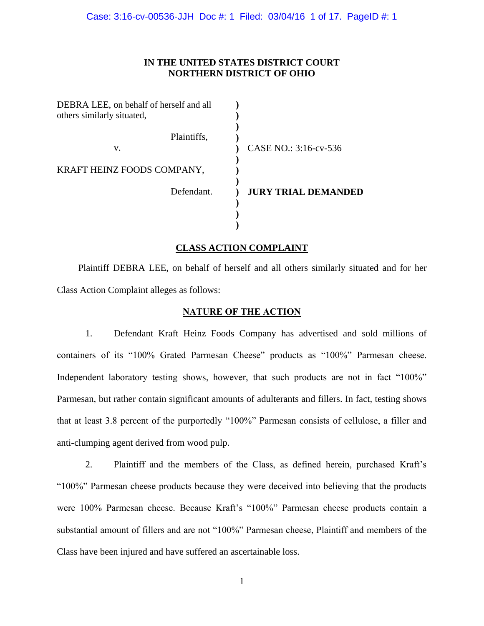Case: 3:16-cv-00536-JJH Doc #: 1 Filed: 03/04/16 1 of 17. PageID #: 1

## **IN THE UNITED STATES DISTRICT COURT NORTHERN DISTRICT OF OHIO**

| DEBRA LEE, on behalf of herself and all<br>others similarly situated, |                            |
|-----------------------------------------------------------------------|----------------------------|
| Plaintiffs,<br>v.                                                     | CASE NO.: 3:16-cv-536      |
| KRAFT HEINZ FOODS COMPANY,                                            |                            |
| Defendant.                                                            | <b>JURY TRIAL DEMANDED</b> |
|                                                                       |                            |

## **CLASS ACTION COMPLAINT**

Plaintiff DEBRA LEE, on behalf of herself and all others similarly situated and for her Class Action Complaint alleges as follows:

### **NATURE OF THE ACTION**

1. Defendant Kraft Heinz Foods Company has advertised and sold millions of containers of its "100% Grated Parmesan Cheese" products as "100%" Parmesan cheese. Independent laboratory testing shows, however, that such products are not in fact "100%" Parmesan, but rather contain significant amounts of adulterants and fillers. In fact, testing shows that at least 3.8 percent of the purportedly "100%" Parmesan consists of cellulose, a filler and anti-clumping agent derived from wood pulp.

2. Plaintiff and the members of the Class, as defined herein, purchased Kraft's "100%" Parmesan cheese products because they were deceived into believing that the products were 100% Parmesan cheese. Because Kraft's "100%" Parmesan cheese products contain a substantial amount of fillers and are not "100%" Parmesan cheese, Plaintiff and members of the Class have been injured and have suffered an ascertainable loss.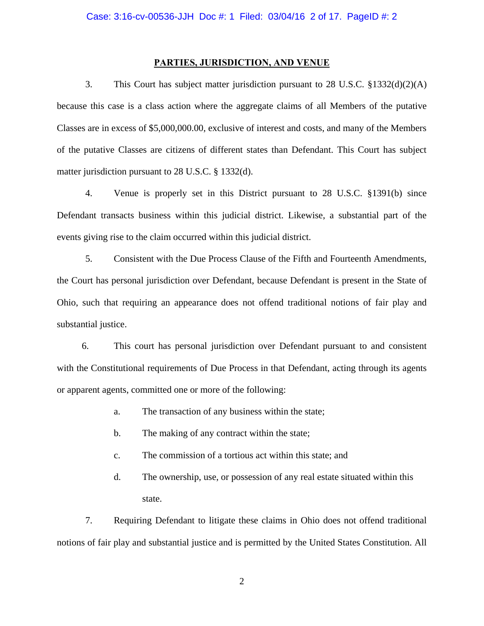### **PARTIES, JURISDICTION, AND VENUE**

3. This Court has subject matter jurisdiction pursuant to 28 U.S.C. §1332(d)(2)(A) because this case is a class action where the aggregate claims of all Members of the putative Classes are in excess of \$5,000,000.00, exclusive of interest and costs, and many of the Members of the putative Classes are citizens of different states than Defendant. This Court has subject matter jurisdiction pursuant to 28 U.S.C. § 1332(d).

4. Venue is properly set in this District pursuant to 28 U.S.C. §1391(b) since Defendant transacts business within this judicial district. Likewise, a substantial part of the events giving rise to the claim occurred within this judicial district.

5. Consistent with the Due Process Clause of the Fifth and Fourteenth Amendments, the Court has personal jurisdiction over Defendant, because Defendant is present in the State of Ohio, such that requiring an appearance does not offend traditional notions of fair play and substantial justice.

6. This court has personal jurisdiction over Defendant pursuant to and consistent with the Constitutional requirements of Due Process in that Defendant, acting through its agents or apparent agents, committed one or more of the following:

- a. The transaction of any business within the state;
- b. The making of any contract within the state;
- c. The commission of a tortious act within this state; and
- d. The ownership, use, or possession of any real estate situated within this state.

7. Requiring Defendant to litigate these claims in Ohio does not offend traditional notions of fair play and substantial justice and is permitted by the United States Constitution. All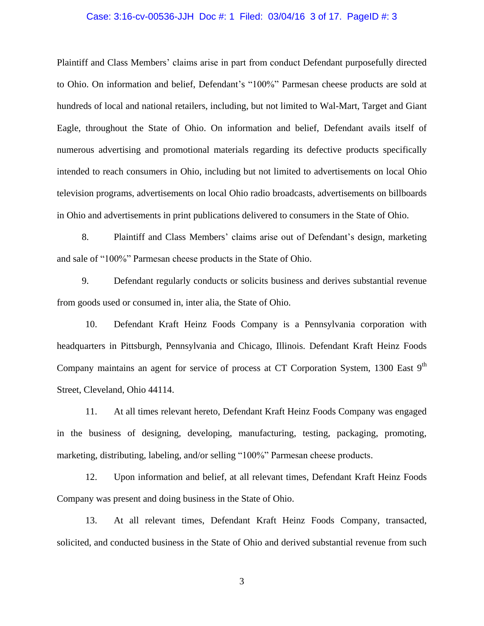#### Case: 3:16-cv-00536-JJH Doc #: 1 Filed: 03/04/16 3 of 17. PageID #: 3

Plaintiff and Class Members' claims arise in part from conduct Defendant purposefully directed to Ohio. On information and belief, Defendant's "100%" Parmesan cheese products are sold at hundreds of local and national retailers, including, but not limited to Wal-Mart, Target and Giant Eagle, throughout the State of Ohio. On information and belief, Defendant avails itself of numerous advertising and promotional materials regarding its defective products specifically intended to reach consumers in Ohio, including but not limited to advertisements on local Ohio television programs, advertisements on local Ohio radio broadcasts, advertisements on billboards in Ohio and advertisements in print publications delivered to consumers in the State of Ohio.

8. Plaintiff and Class Members' claims arise out of Defendant's design, marketing and sale of "100%" Parmesan cheese products in the State of Ohio.

9. Defendant regularly conducts or solicits business and derives substantial revenue from goods used or consumed in, inter alia, the State of Ohio.

10. Defendant Kraft Heinz Foods Company is a Pennsylvania corporation with headquarters in Pittsburgh, Pennsylvania and Chicago, Illinois. Defendant Kraft Heinz Foods Company maintains an agent for service of process at CT Corporation System, 1300 East 9<sup>th</sup> Street, Cleveland, Ohio 44114.

11. At all times relevant hereto, Defendant Kraft Heinz Foods Company was engaged in the business of designing, developing, manufacturing, testing, packaging, promoting, marketing, distributing, labeling, and/or selling "100%" Parmesan cheese products.

12. Upon information and belief, at all relevant times, Defendant Kraft Heinz Foods Company was present and doing business in the State of Ohio.

13. At all relevant times, Defendant Kraft Heinz Foods Company, transacted, solicited, and conducted business in the State of Ohio and derived substantial revenue from such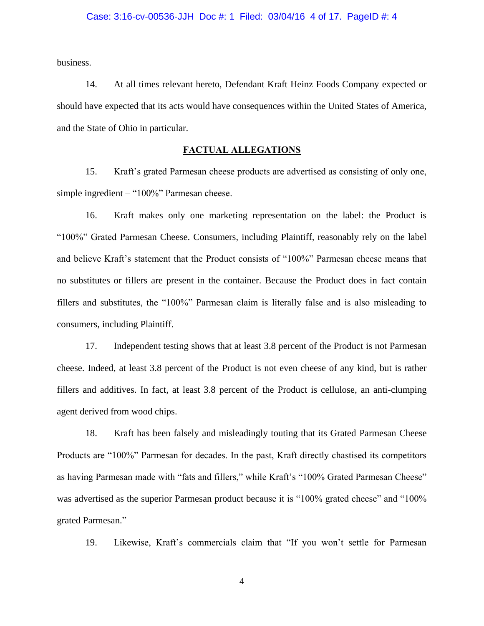business.

14. At all times relevant hereto, Defendant Kraft Heinz Foods Company expected or should have expected that its acts would have consequences within the United States of America, and the State of Ohio in particular.

# **FACTUAL ALLEGATIONS**

15. Kraft's grated Parmesan cheese products are advertised as consisting of only one, simple ingredient – "100%" Parmesan cheese.

16. Kraft makes only one marketing representation on the label: the Product is "100%" Grated Parmesan Cheese. Consumers, including Plaintiff, reasonably rely on the label and believe Kraft's statement that the Product consists of "100%" Parmesan cheese means that no substitutes or fillers are present in the container. Because the Product does in fact contain fillers and substitutes, the "100%" Parmesan claim is literally false and is also misleading to consumers, including Plaintiff.

17. Independent testing shows that at least 3.8 percent of the Product is not Parmesan cheese. Indeed, at least 3.8 percent of the Product is not even cheese of any kind, but is rather fillers and additives. In fact, at least 3.8 percent of the Product is cellulose, an anti-clumping agent derived from wood chips.

18. Kraft has been falsely and misleadingly touting that its Grated Parmesan Cheese Products are "100%" Parmesan for decades. In the past, Kraft directly chastised its competitors as having Parmesan made with "fats and fillers," while Kraft's "100% Grated Parmesan Cheese" was advertised as the superior Parmesan product because it is "100% grated cheese" and "100% grated Parmesan."

19. Likewise, Kraft's commercials claim that "If you won't settle for Parmesan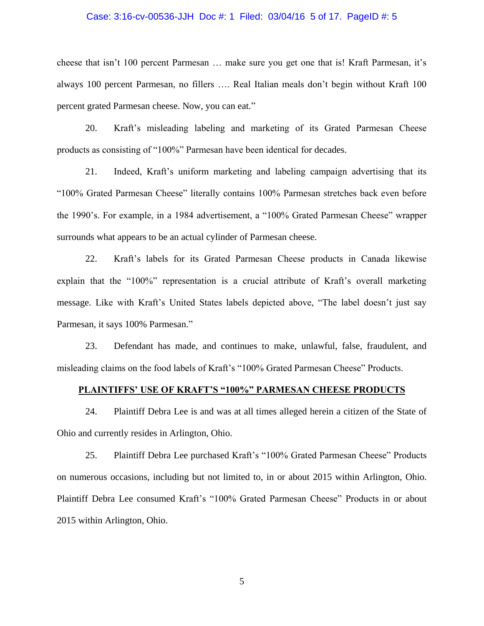#### Case: 3:16-cv-00536-JJH Doc #: 1 Filed: 03/04/16 5 of 17. PageID #: 5

cheese that isn't 100 percent Parmesan … make sure you get one that is! Kraft Parmesan, it's always 100 percent Parmesan, no fillers …. Real Italian meals don't begin without Kraft 100 percent grated Parmesan cheese. Now, you can eat."

20. Kraft's misleading labeling and marketing of its Grated Parmesan Cheese products as consisting of "100%" Parmesan have been identical for decades.

21. Indeed, Kraft's uniform marketing and labeling campaign advertising that its "100% Grated Parmesan Cheese" literally contains 100% Parmesan stretches back even before the 1990's. For example, in a 1984 advertisement, a "100% Grated Parmesan Cheese" wrapper surrounds what appears to be an actual cylinder of Parmesan cheese.

22. Kraft's labels for its Grated Parmesan Cheese products in Canada likewise explain that the "100%" representation is a crucial attribute of Kraft's overall marketing message. Like with Kraft's United States labels depicted above, "The label doesn't just say Parmesan, it says 100% Parmesan."

23. Defendant has made, and continues to make, unlawful, false, fraudulent, and misleading claims on the food labels of Kraft's "100% Grated Parmesan Cheese" Products.

## **PLAINTIFFS' USE OF KRAFT'S "100%" PARMESAN CHEESE PRODUCTS**

24. Plaintiff Debra Lee is and was at all times alleged herein a citizen of the State of Ohio and currently resides in Arlington, Ohio.

25. Plaintiff Debra Lee purchased Kraft's "100% Grated Parmesan Cheese" Products on numerous occasions, including but not limited to, in or about 2015 within Arlington, Ohio. Plaintiff Debra Lee consumed Kraft's "100% Grated Parmesan Cheese" Products in or about 2015 within Arlington, Ohio.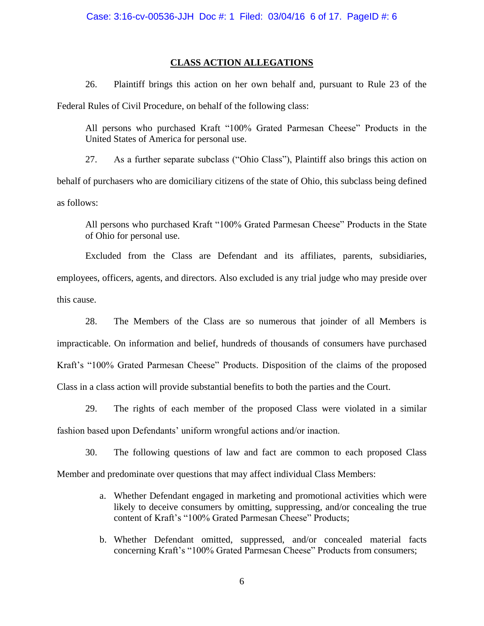## **CLASS ACTION ALLEGATIONS**

26. Plaintiff brings this action on her own behalf and, pursuant to Rule 23 of the Federal Rules of Civil Procedure, on behalf of the following class:

All persons who purchased Kraft "100% Grated Parmesan Cheese" Products in the United States of America for personal use.

27. As a further separate subclass ("Ohio Class"), Plaintiff also brings this action on behalf of purchasers who are domiciliary citizens of the state of Ohio, this subclass being defined as follows:

All persons who purchased Kraft "100% Grated Parmesan Cheese" Products in the State of Ohio for personal use.

Excluded from the Class are Defendant and its affiliates, parents, subsidiaries, employees, officers, agents, and directors. Also excluded is any trial judge who may preside over this cause.

28. The Members of the Class are so numerous that joinder of all Members is impracticable. On information and belief, hundreds of thousands of consumers have purchased Kraft's "100% Grated Parmesan Cheese" Products. Disposition of the claims of the proposed Class in a class action will provide substantial benefits to both the parties and the Court.

29. The rights of each member of the proposed Class were violated in a similar fashion based upon Defendants' uniform wrongful actions and/or inaction.

30. The following questions of law and fact are common to each proposed Class Member and predominate over questions that may affect individual Class Members:

- a. Whether Defendant engaged in marketing and promotional activities which were likely to deceive consumers by omitting, suppressing, and/or concealing the true content of Kraft's "100% Grated Parmesan Cheese" Products;
- b. Whether Defendant omitted, suppressed, and/or concealed material facts concerning Kraft's "100% Grated Parmesan Cheese" Products from consumers;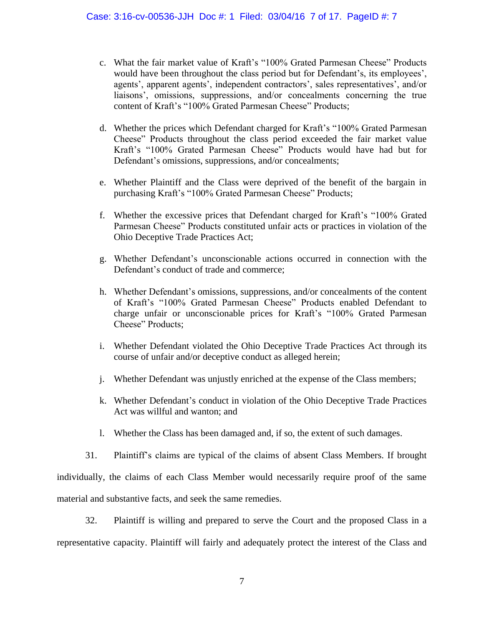- c. What the fair market value of Kraft's "100% Grated Parmesan Cheese" Products would have been throughout the class period but for Defendant's, its employees', agents', apparent agents', independent contractors', sales representatives', and/or liaisons', omissions, suppressions, and/or concealments concerning the true content of Kraft's "100% Grated Parmesan Cheese" Products;
- d. Whether the prices which Defendant charged for Kraft's "100% Grated Parmesan Cheese" Products throughout the class period exceeded the fair market value Kraft's "100% Grated Parmesan Cheese" Products would have had but for Defendant's omissions, suppressions, and/or concealments;
- e. Whether Plaintiff and the Class were deprived of the benefit of the bargain in purchasing Kraft's "100% Grated Parmesan Cheese" Products;
- f. Whether the excessive prices that Defendant charged for Kraft's "100% Grated Parmesan Cheese" Products constituted unfair acts or practices in violation of the Ohio Deceptive Trade Practices Act;
- g. Whether Defendant's unconscionable actions occurred in connection with the Defendant's conduct of trade and commerce;
- h. Whether Defendant's omissions, suppressions, and/or concealments of the content of Kraft's "100% Grated Parmesan Cheese" Products enabled Defendant to charge unfair or unconscionable prices for Kraft's "100% Grated Parmesan Cheese" Products;
- i. Whether Defendant violated the Ohio Deceptive Trade Practices Act through its course of unfair and/or deceptive conduct as alleged herein;
- j. Whether Defendant was unjustly enriched at the expense of the Class members;
- k. Whether Defendant's conduct in violation of the Ohio Deceptive Trade Practices Act was willful and wanton; and
- l. Whether the Class has been damaged and, if so, the extent of such damages.
- 31. Plaintiff's claims are typical of the claims of absent Class Members. If brought

individually, the claims of each Class Member would necessarily require proof of the same material and substantive facts, and seek the same remedies.

32. Plaintiff is willing and prepared to serve the Court and the proposed Class in a representative capacity. Plaintiff will fairly and adequately protect the interest of the Class and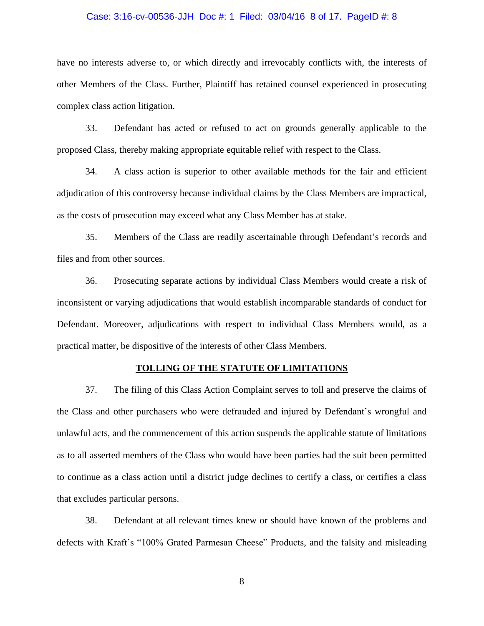#### Case: 3:16-cv-00536-JJH Doc #: 1 Filed: 03/04/16 8 of 17. PageID #: 8

have no interests adverse to, or which directly and irrevocably conflicts with, the interests of other Members of the Class. Further, Plaintiff has retained counsel experienced in prosecuting complex class action litigation.

33. Defendant has acted or refused to act on grounds generally applicable to the proposed Class, thereby making appropriate equitable relief with respect to the Class.

34. A class action is superior to other available methods for the fair and efficient adjudication of this controversy because individual claims by the Class Members are impractical, as the costs of prosecution may exceed what any Class Member has at stake.

35. Members of the Class are readily ascertainable through Defendant's records and files and from other sources.

36. Prosecuting separate actions by individual Class Members would create a risk of inconsistent or varying adjudications that would establish incomparable standards of conduct for Defendant. Moreover, adjudications with respect to individual Class Members would, as a practical matter, be dispositive of the interests of other Class Members.

### **TOLLING OF THE STATUTE OF LIMITATIONS**

37. The filing of this Class Action Complaint serves to toll and preserve the claims of the Class and other purchasers who were defrauded and injured by Defendant's wrongful and unlawful acts, and the commencement of this action suspends the applicable statute of limitations as to all asserted members of the Class who would have been parties had the suit been permitted to continue as a class action until a district judge declines to certify a class, or certifies a class that excludes particular persons.

38. Defendant at all relevant times knew or should have known of the problems and defects with Kraft's "100% Grated Parmesan Cheese" Products, and the falsity and misleading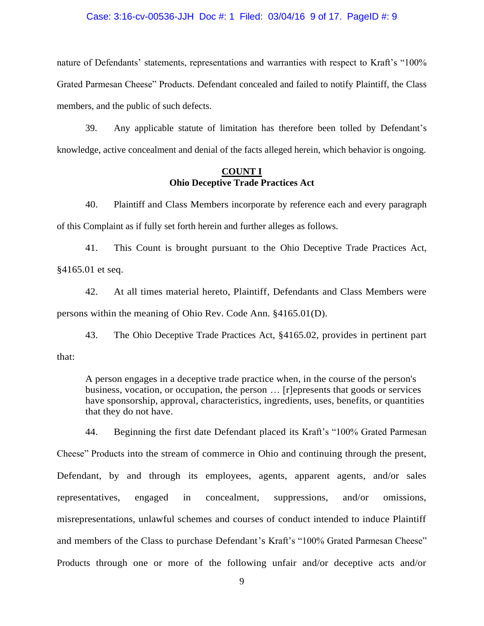#### Case: 3:16-cv-00536-JJH Doc #: 1 Filed: 03/04/16 9 of 17. PageID #: 9

nature of Defendants' statements, representations and warranties with respect to Kraft's "100% Grated Parmesan Cheese" Products. Defendant concealed and failed to notify Plaintiff, the Class members, and the public of such defects.

39. Any applicable statute of limitation has therefore been tolled by Defendant's knowledge, active concealment and denial of the facts alleged herein, which behavior is ongoing.

## **COUNT I Ohio Deceptive Trade Practices Act**

40. Plaintiff and Class Members incorporate by reference each and every paragraph of this Complaint as if fully set forth herein and further alleges as follows.

41. This Count is brought pursuant to the Ohio Deceptive Trade Practices Act, §4165.01 et seq.

42. At all times material hereto, Plaintiff, Defendants and Class Members were persons within the meaning of Ohio Rev. Code Ann. §4165.01(D).

43. The Ohio Deceptive Trade Practices Act, §4165.02, provides in pertinent part that:

A person engages in a deceptive trade practice when, in the course of the person's business, vocation, or occupation, the person … [r]epresents that goods or services have sponsorship, approval, characteristics, ingredients, uses, benefits, or quantities that they do not have.

44. Beginning the first date Defendant placed its Kraft's "100% Grated Parmesan Cheese" Products into the stream of commerce in Ohio and continuing through the present, Defendant, by and through its employees, agents, apparent agents, and/or sales representatives, engaged in concealment, suppressions, and/or omissions, misrepresentations, unlawful schemes and courses of conduct intended to induce Plaintiff and members of the Class to purchase Defendant's Kraft's "100% Grated Parmesan Cheese" Products through one or more of the following unfair and/or deceptive acts and/or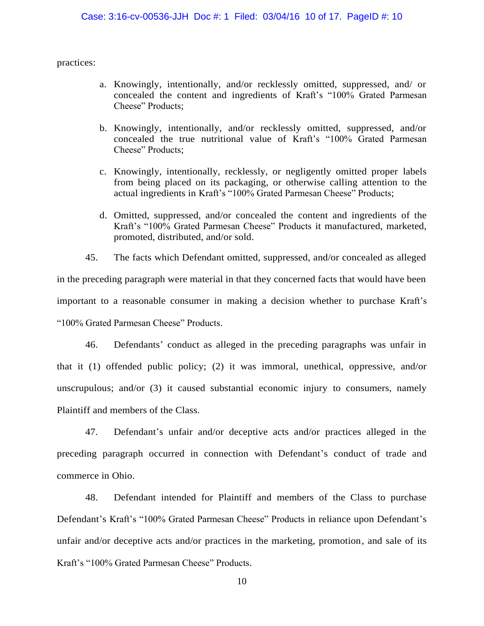practices:

- a. Knowingly, intentionally, and/or recklessly omitted, suppressed, and/ or concealed the content and ingredients of Kraft's "100% Grated Parmesan Cheese" Products;
- b. Knowingly, intentionally, and/or recklessly omitted, suppressed, and/or concealed the true nutritional value of Kraft's "100% Grated Parmesan Cheese" Products;
- c. Knowingly, intentionally, recklessly, or negligently omitted proper labels from being placed on its packaging, or otherwise calling attention to the actual ingredients in Kraft's "100% Grated Parmesan Cheese" Products;
- d. Omitted, suppressed, and/or concealed the content and ingredients of the Kraft's "100% Grated Parmesan Cheese" Products it manufactured, marketed, promoted, distributed, and/or sold.

45. The facts which Defendant omitted, suppressed, and/or concealed as alleged in the preceding paragraph were material in that they concerned facts that would have been important to a reasonable consumer in making a decision whether to purchase Kraft's "100% Grated Parmesan Cheese" Products.

46. Defendants' conduct as alleged in the preceding paragraphs was unfair in that it (1) offended public policy; (2) it was immoral, unethical, oppressive, and/or unscrupulous; and/or (3) it caused substantial economic injury to consumers, namely Plaintiff and members of the Class.

47. Defendant's unfair and/or deceptive acts and/or practices alleged in the preceding paragraph occurred in connection with Defendant's conduct of trade and commerce in Ohio.

48. Defendant intended for Plaintiff and members of the Class to purchase Defendant's Kraft's "100% Grated Parmesan Cheese" Products in reliance upon Defendant's unfair and/or deceptive acts and/or practices in the marketing, promotion, and sale of its Kraft's "100% Grated Parmesan Cheese" Products.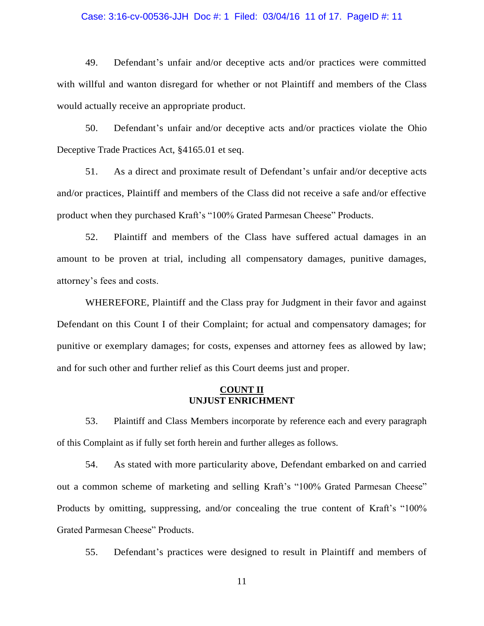#### Case: 3:16-cv-00536-JJH Doc #: 1 Filed: 03/04/16 11 of 17. PageID #: 11

49. Defendant's unfair and/or deceptive acts and/or practices were committed with willful and wanton disregard for whether or not Plaintiff and members of the Class would actually receive an appropriate product.

50. Defendant's unfair and/or deceptive acts and/or practices violate the Ohio Deceptive Trade Practices Act, §4165.01 et seq.

51. As a direct and proximate result of Defendant's unfair and/or deceptive acts and/or practices, Plaintiff and members of the Class did not receive a safe and/or effective product when they purchased Kraft's "100% Grated Parmesan Cheese" Products.

52. Plaintiff and members of the Class have suffered actual damages in an amount to be proven at trial, including all compensatory damages, punitive damages, attorney's fees and costs.

WHEREFORE, Plaintiff and the Class pray for Judgment in their favor and against Defendant on this Count I of their Complaint; for actual and compensatory damages; for punitive or exemplary damages; for costs, expenses and attorney fees as allowed by law; and for such other and further relief as this Court deems just and proper.

## **COUNT II UNJUST ENRICHMENT**

53. Plaintiff and Class Members incorporate by reference each and every paragraph of this Complaint as if fully set forth herein and further alleges as follows.

54. As stated with more particularity above, Defendant embarked on and carried out a common scheme of marketing and selling Kraft's "100% Grated Parmesan Cheese" Products by omitting, suppressing, and/or concealing the true content of Kraft's "100% Grated Parmesan Cheese" Products.

55. Defendant's practices were designed to result in Plaintiff and members of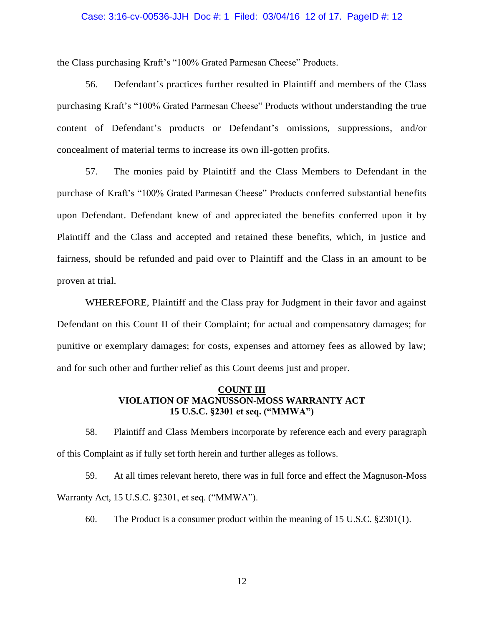#### Case: 3:16-cv-00536-JJH Doc #: 1 Filed: 03/04/16 12 of 17. PageID #: 12

the Class purchasing Kraft's "100% Grated Parmesan Cheese" Products.

56. Defendant's practices further resulted in Plaintiff and members of the Class purchasing Kraft's "100% Grated Parmesan Cheese" Products without understanding the true content of Defendant's products or Defendant's omissions, suppressions, and/or concealment of material terms to increase its own ill-gotten profits.

57. The monies paid by Plaintiff and the Class Members to Defendant in the purchase of Kraft's "100% Grated Parmesan Cheese" Products conferred substantial benefits upon Defendant. Defendant knew of and appreciated the benefits conferred upon it by Plaintiff and the Class and accepted and retained these benefits, which, in justice and fairness, should be refunded and paid over to Plaintiff and the Class in an amount to be proven at trial.

WHEREFORE, Plaintiff and the Class pray for Judgment in their favor and against Defendant on this Count II of their Complaint; for actual and compensatory damages; for punitive or exemplary damages; for costs, expenses and attorney fees as allowed by law; and for such other and further relief as this Court deems just and proper.

## **COUNT III VIOLATION OF MAGNUSSON-MOSS WARRANTY ACT 15 U.S.C. §2301 et seq. ("MMWA")**

58. Plaintiff and Class Members incorporate by reference each and every paragraph of this Complaint as if fully set forth herein and further alleges as follows.

59. At all times relevant hereto, there was in full force and effect the Magnuson-Moss Warranty Act, 15 U.S.C. §2301, et seq. ("MMWA").

60. The Product is a consumer product within the meaning of 15 U.S.C. §2301(1).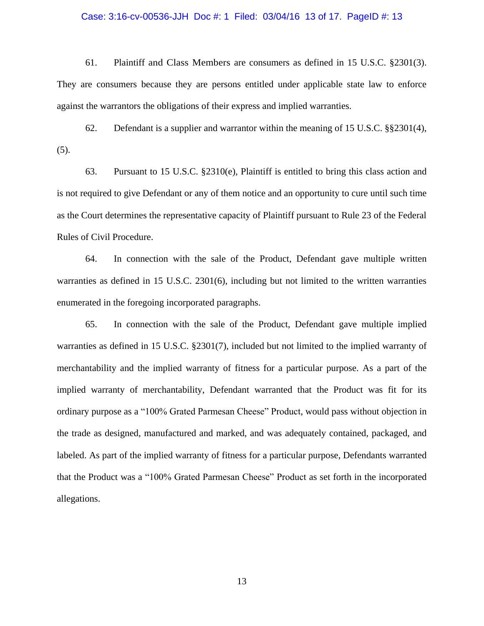#### Case: 3:16-cv-00536-JJH Doc #: 1 Filed: 03/04/16 13 of 17. PageID #: 13

61. Plaintiff and Class Members are consumers as defined in 15 U.S.C. §2301(3). They are consumers because they are persons entitled under applicable state law to enforce against the warrantors the obligations of their express and implied warranties.

62. Defendant is a supplier and warrantor within the meaning of 15 U.S.C. §§2301(4), (5).

63. Pursuant to 15 U.S.C. §2310(e), Plaintiff is entitled to bring this class action and is not required to give Defendant or any of them notice and an opportunity to cure until such time as the Court determines the representative capacity of Plaintiff pursuant to Rule 23 of the Federal Rules of Civil Procedure.

64. In connection with the sale of the Product, Defendant gave multiple written warranties as defined in 15 U.S.C. 2301(6), including but not limited to the written warranties enumerated in the foregoing incorporated paragraphs.

65. In connection with the sale of the Product, Defendant gave multiple implied warranties as defined in 15 U.S.C. §2301(7), included but not limited to the implied warranty of merchantability and the implied warranty of fitness for a particular purpose. As a part of the implied warranty of merchantability, Defendant warranted that the Product was fit for its ordinary purpose as a "100% Grated Parmesan Cheese" Product, would pass without objection in the trade as designed, manufactured and marked, and was adequately contained, packaged, and labeled. As part of the implied warranty of fitness for a particular purpose, Defendants warranted that the Product was a "100% Grated Parmesan Cheese" Product as set forth in the incorporated allegations.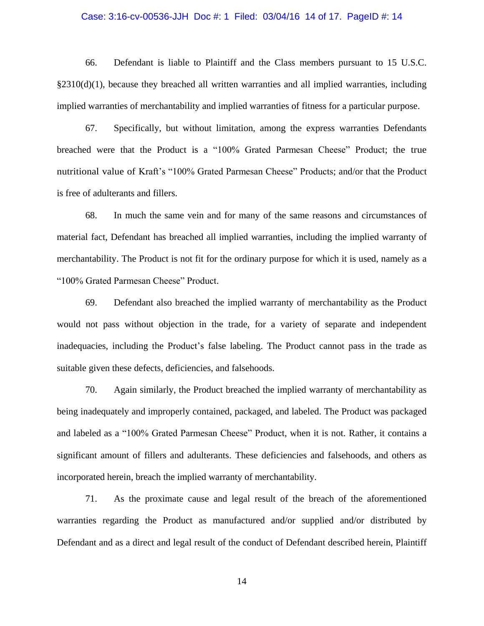#### Case: 3:16-cv-00536-JJH Doc #: 1 Filed: 03/04/16 14 of 17. PageID #: 14

66. Defendant is liable to Plaintiff and the Class members pursuant to 15 U.S.C.  $\S 2310(d)(1)$ , because they breached all written warranties and all implied warranties, including implied warranties of merchantability and implied warranties of fitness for a particular purpose.

67. Specifically, but without limitation, among the express warranties Defendants breached were that the Product is a "100% Grated Parmesan Cheese" Product; the true nutritional value of Kraft's "100% Grated Parmesan Cheese" Products; and/or that the Product is free of adulterants and fillers.

68. In much the same vein and for many of the same reasons and circumstances of material fact, Defendant has breached all implied warranties, including the implied warranty of merchantability. The Product is not fit for the ordinary purpose for which it is used, namely as a "100% Grated Parmesan Cheese" Product.

69. Defendant also breached the implied warranty of merchantability as the Product would not pass without objection in the trade, for a variety of separate and independent inadequacies, including the Product's false labeling. The Product cannot pass in the trade as suitable given these defects, deficiencies, and falsehoods.

70. Again similarly, the Product breached the implied warranty of merchantability as being inadequately and improperly contained, packaged, and labeled. The Product was packaged and labeled as a "100% Grated Parmesan Cheese" Product, when it is not. Rather, it contains a significant amount of fillers and adulterants. These deficiencies and falsehoods, and others as incorporated herein, breach the implied warranty of merchantability.

71. As the proximate cause and legal result of the breach of the aforementioned warranties regarding the Product as manufactured and/or supplied and/or distributed by Defendant and as a direct and legal result of the conduct of Defendant described herein, Plaintiff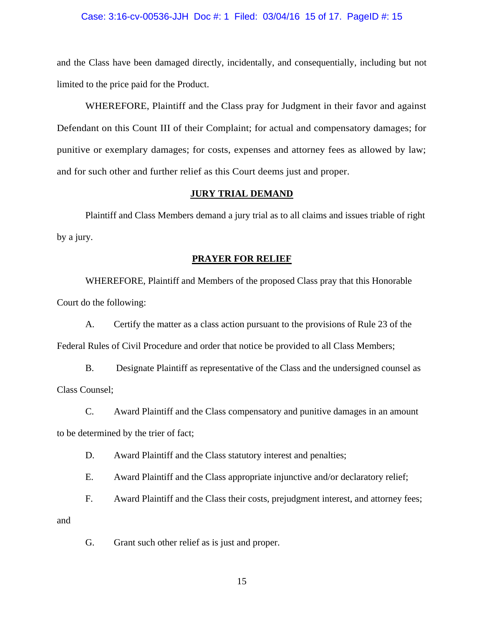#### Case: 3:16-cv-00536-JJH Doc #: 1 Filed: 03/04/16 15 of 17. PageID #: 15

and the Class have been damaged directly, incidentally, and consequentially, including but not limited to the price paid for the Product.

WHEREFORE, Plaintiff and the Class pray for Judgment in their favor and against Defendant on this Count III of their Complaint; for actual and compensatory damages; for punitive or exemplary damages; for costs, expenses and attorney fees as allowed by law; and for such other and further relief as this Court deems just and proper.

### **JURY TRIAL DEMAND**

Plaintiff and Class Members demand a jury trial as to all claims and issues triable of right by a jury.

#### **PRAYER FOR RELIEF**

WHEREFORE, Plaintiff and Members of the proposed Class pray that this Honorable Court do the following:

A. Certify the matter as a class action pursuant to the provisions of Rule 23 of the Federal Rules of Civil Procedure and order that notice be provided to all Class Members;

B. Designate Plaintiff as representative of the Class and the undersigned counsel as Class Counsel;

C. Award Plaintiff and the Class compensatory and punitive damages in an amount to be determined by the trier of fact;

D. Award Plaintiff and the Class statutory interest and penalties;

E. Award Plaintiff and the Class appropriate injunctive and/or declaratory relief;

F. Award Plaintiff and the Class their costs, prejudgment interest, and attorney fees;

and

G. Grant such other relief as is just and proper.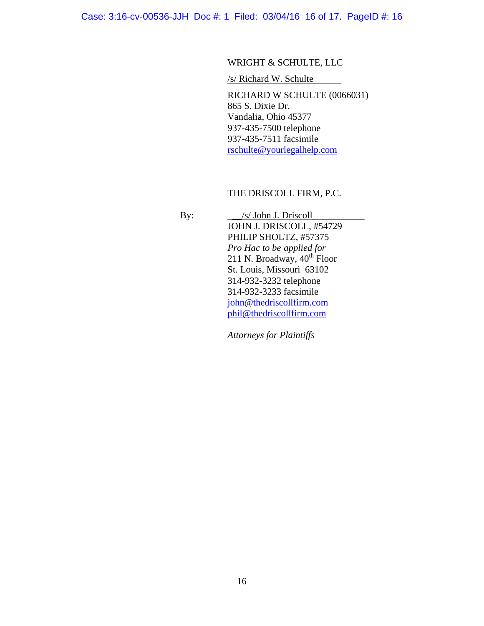Case: 3:16-cv-00536-JJH Doc #: 1 Filed: 03/04/16 16 of 17. PageID #: 16

# WRIGHT & SCHULTE, LLC

/s/ Richard W. Schulte

RICHARD W SCHULTE (0066031) 865 S. Dixie Dr. Vandalia, Ohio 45377 937-435-7500 telephone 937-435-7511 facsimile [rschulte@yourlegalhelp.com](mailto:rschulte@yourlegalhelp.com)

## THE DRISCOLL FIRM, P.C.

 By: \_\_\_/s/ John J. Driscoll\_\_\_\_\_\_\_\_\_\_\_ JOHN J. DRISCOLL, #54729 PHILIP SHOLTZ, #57375 *Pro Hac to be applied for* 211 N. Broadway,  $40^{th}$  Floor St. Louis, Missouri 63102 314-932-3232 telephone 314-932-3233 facsimile [john@thedriscollfirm.com](mailto:john@thedriscollfirm.com) [phil@thedriscollfirm.com](mailto:phil@thedriscollfirm.com)

*Attorneys for Plaintiffs*